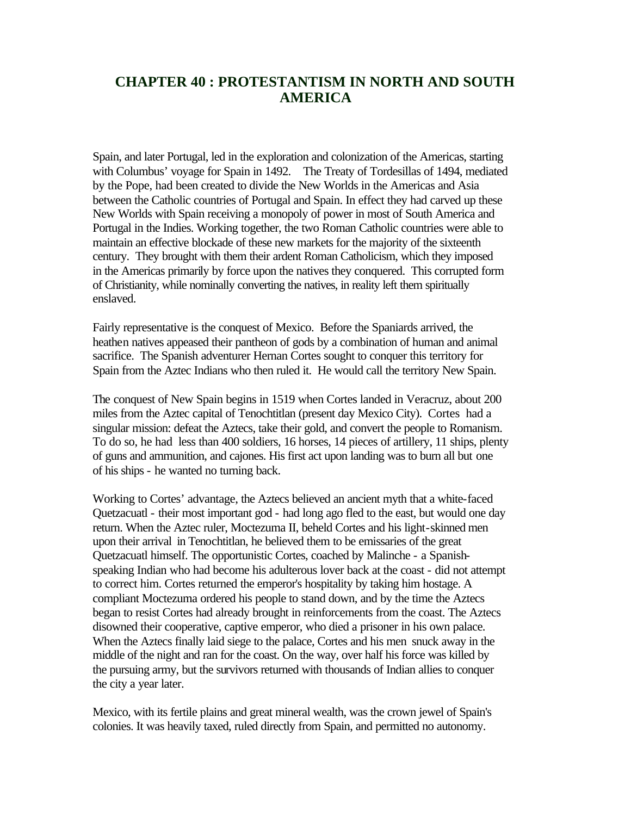## **CHAPTER 40 : PROTESTANTISM IN NORTH AND SOUTH AMERICA**

Spain, and later Portugal, led in the exploration and colonization of the Americas, starting with Columbus' voyage for Spain in 1492. The Treaty of Tordesillas of 1494, mediated by the Pope, had been created to divide the New Worlds in the Americas and Asia between the Catholic countries of Portugal and Spain. In effect they had carved up these New Worlds with Spain receiving a monopoly of power in most of South America and Portugal in the Indies. Working together, the two Roman Catholic countries were able to maintain an effective blockade of these new markets for the majority of the sixteenth century. They brought with them their ardent Roman Catholicism, which they imposed in the Americas primarily by force upon the natives they conquered. This corrupted form of Christianity, while nominally converting the natives, in reality left them spiritually enslaved.

Fairly representative is the conquest of Mexico. Before the Spaniards arrived, the heathen natives appeased their pantheon of gods by a combination of human and animal sacrifice. The Spanish adventurer Hernan Cortes sought to conquer this territory for Spain from the Aztec Indians who then ruled it. He would call the territory New Spain.

The conquest of New Spain begins in 1519 when Cortes landed in Veracruz, about 200 miles from the Aztec capital of Tenochtitlan (present day Mexico City). Cortes had a singular mission: defeat the Aztecs, take their gold, and convert the people to Romanism. To do so, he had less than 400 soldiers, 16 horses, 14 pieces of artillery, 11 ships, plenty of guns and ammunition, and cajones. His first act upon landing was to burn all but one of his ships - he wanted no turning back.

Working to Cortes' advantage, the Aztecs believed an ancient myth that a white-faced Quetzacuatl - their most important god - had long ago fled to the east, but would one day return. When the Aztec ruler, Moctezuma II, beheld Cortes and his light-skinned men upon their arrival in Tenochtitlan, he believed them to be emissaries of the great Quetzacuatl himself. The opportunistic Cortes, coached by Malinche - a Spanishspeaking Indian who had become his adulterous lover back at the coast - did not attempt to correct him. Cortes returned the emperor's hospitality by taking him hostage. A compliant Moctezuma ordered his people to stand down, and by the time the Aztecs began to resist Cortes had already brought in reinforcements from the coast. The Aztecs disowned their cooperative, captive emperor, who died a prisoner in his own palace. When the Aztecs finally laid siege to the palace, Cortes and his men snuck away in the middle of the night and ran for the coast. On the way, over half his force was killed by the pursuing army, but the survivors returned with thousands of Indian allies to conquer the city a year later.

Mexico, with its fertile plains and great mineral wealth, was the crown jewel of Spain's colonies. It was heavily taxed, ruled directly from Spain, and permitted no autonomy.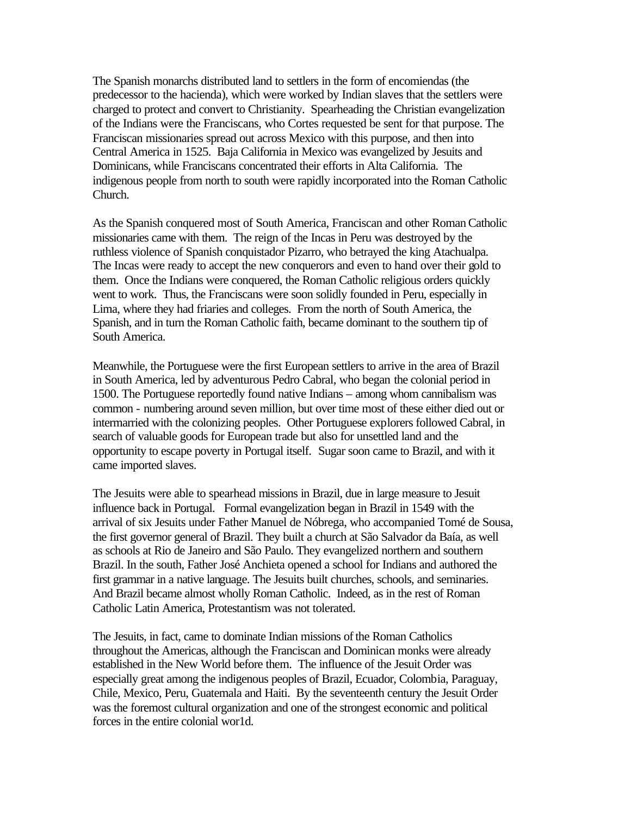The Spanish monarchs distributed land to settlers in the form of encomiendas (the predecessor to the hacienda), which were worked by Indian slaves that the settlers were charged to protect and convert to Christianity. Spearheading the Christian evangelization of the Indians were the Franciscans, who Cortes requested be sent for that purpose. The Franciscan missionaries spread out across Mexico with this purpose, and then into Central America in 1525. Baja California in Mexico was evangelized by Jesuits and Dominicans, while Franciscans concentrated their efforts in Alta California. The indigenous people from north to south were rapidly incorporated into the Roman Catholic Church.

As the Spanish conquered most of South America, Franciscan and other Roman Catholic missionaries came with them. The reign of the Incas in Peru was destroyed by the ruthless violence of Spanish conquistador Pizarro, who betrayed the king Atachualpa. The Incas were ready to accept the new conquerors and even to hand over their gold to them. Once the Indians were conquered, the Roman Catholic religious orders quickly went to work. Thus, the Franciscans were soon solidly founded in Peru, especially in Lima, where they had friaries and colleges. From the north of South America, the Spanish, and in turn the Roman Catholic faith, became dominant to the southern tip of South America.

Meanwhile, the Portuguese were the first European settlers to arrive in the area of Brazil in South America, led by adventurous Pedro Cabral, who began the colonial period in 1500. The Portuguese reportedly found native Indians – among whom cannibalism was common - numbering around seven million, but over time most of these either died out or intermarried with the colonizing peoples. Other Portuguese explorers followed Cabral, in search of valuable goods for European trade but also for unsettled land and the opportunity to escape poverty in Portugal itself. Sugar soon came to Brazil, and with it came imported slaves.

The Jesuits were able to spearhead missions in Brazil, due in large measure to Jesuit influence back in Portugal. Formal evangelization began in Brazil in 1549 with the arrival of six Jesuits under Father Manuel de Nóbrega, who accompanied Tomé de Sousa, the first governor general of Brazil. They built a church at São Salvador da Baía, as well as schools at Rio de Janeiro and São Paulo. They evangelized northern and southern Brazil. In the south, Father José Anchieta opened a school for Indians and authored the first grammar in a native language. The Jesuits built churches, schools, and seminaries. And Brazil became almost wholly Roman Catholic. Indeed, as in the rest of Roman Catholic Latin America, Protestantism was not tolerated.

The Jesuits, in fact, came to dominate Indian missions of the Roman Catholics throughout the Americas, although the Franciscan and Dominican monks were already established in the New World before them. The influence of the Jesuit Order was especially great among the indigenous peoples of Brazil, Ecuador, Colombia, Paraguay, Chile, Mexico, Peru, Guatemala and Haiti. By the seventeenth century the Jesuit Order was the foremost cultural organization and one of the strongest economic and political forces in the entire colonial wor1d.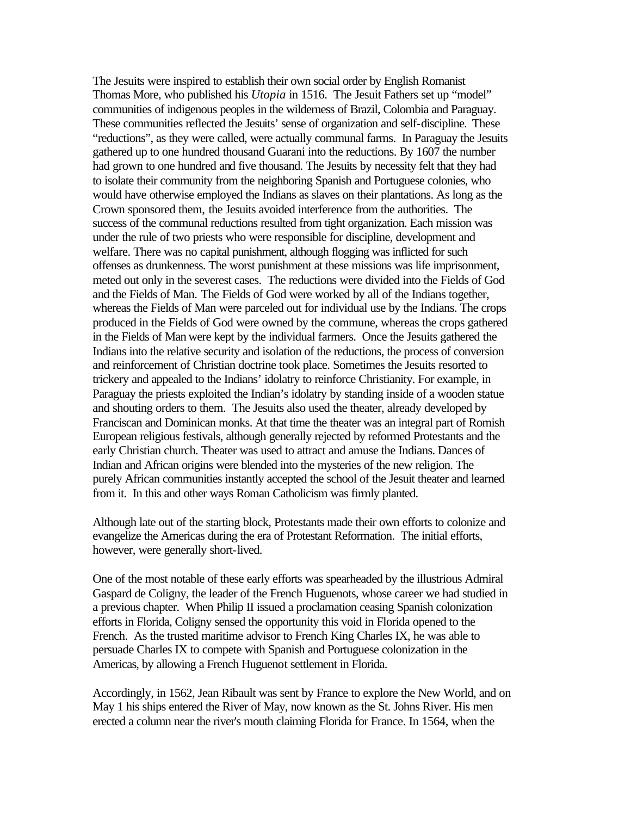The Jesuits were inspired to establish their own social order by English Romanist Thomas More, who published his *Utopia* in 1516. The Jesuit Fathers set up "model" communities of indigenous peoples in the wilderness of Brazil, Colombia and Paraguay. These communities reflected the Jesuits' sense of organization and self-discipline. These "reductions", as they were called, were actually communal farms. In Paraguay the Jesuits gathered up to one hundred thousand Guarani into the reductions. By 1607 the number had grown to one hundred and five thousand. The Jesuits by necessity felt that they had to isolate their community from the neighboring Spanish and Portuguese colonies, who would have otherwise employed the Indians as slaves on their plantations. As long as the Crown sponsored them, the Jesuits avoided interference from the authorities. The success of the communal reductions resulted from tight organization. Each mission was under the rule of two priests who were responsible for discipline, development and welfare. There was no capital punishment, although flogging was inflicted for such offenses as drunkenness. The worst punishment at these missions was life imprisonment, meted out only in the severest cases. The reductions were divided into the Fields of God and the Fields of Man. The Fields of God were worked by all of the Indians together, whereas the Fields of Man were parceled out for individual use by the Indians. The crops produced in the Fields of God were owned by the commune, whereas the crops gathered in the Fields of Man were kept by the individual farmers. Once the Jesuits gathered the Indians into the relative security and isolation of the reductions, the process of conversion and reinforcement of Christian doctrine took place. Sometimes the Jesuits resorted to trickery and appealed to the Indians' idolatry to reinforce Christianity. For example, in Paraguay the priests exploited the Indian's idolatry by standing inside of a wooden statue and shouting orders to them. The Jesuits also used the theater, already developed by Franciscan and Dominican monks. At that time the theater was an integral part of Romish European religious festivals, although generally rejected by reformed Protestants and the early Christian church. Theater was used to attract and amuse the Indians. Dances of Indian and African origins were blended into the mysteries of the new religion. The purely African communities instantly accepted the school of the Jesuit theater and learned from it. In this and other ways Roman Catholicism was firmly planted.

Although late out of the starting block, Protestants made their own efforts to colonize and evangelize the Americas during the era of Protestant Reformation. The initial efforts, however, were generally short-lived.

One of the most notable of these early efforts was spearheaded by the illustrious Admiral Gaspard de Coligny, the leader of the French Huguenots, whose career we had studied in a previous chapter. When Philip II issued a proclamation ceasing Spanish colonization efforts in Florida, Coligny sensed the opportunity this void in Florida opened to the French. As the trusted maritime advisor to French King Charles IX, he was able to persuade Charles IX to compete with Spanish and Portuguese colonization in the Americas, by allowing a French Huguenot settlement in Florida.

Accordingly, in 1562, Jean Ribault was sent by France to explore the New World, and on May 1 his ships entered the River of May, now known as the St. Johns River. His men erected a column near the river's mouth claiming Florida for France. In 1564, when the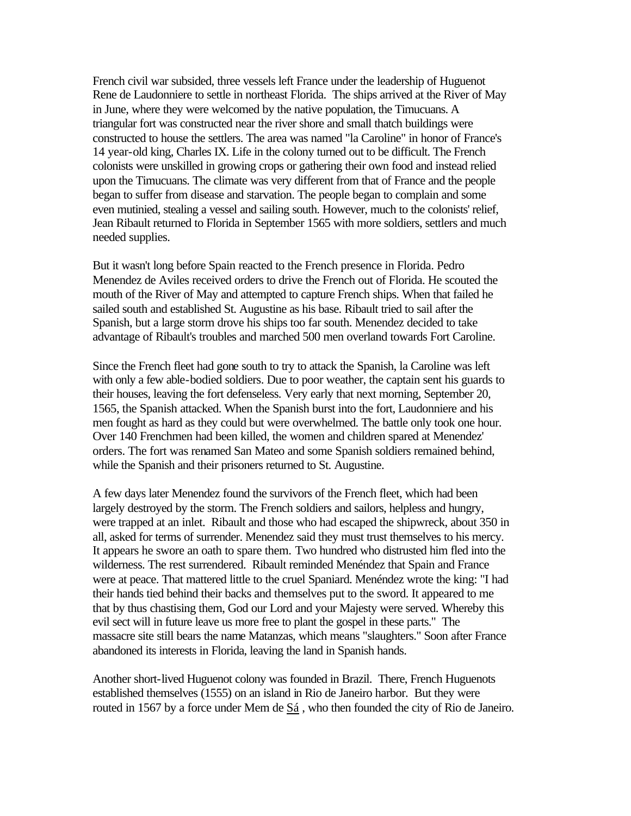French civil war subsided, three vessels left France under the leadership of Huguenot Rene de Laudonniere to settle in northeast Florida. The ships arrived at the River of May in June, where they were welcomed by the native population, the Timucuans. A triangular fort was constructed near the river shore and small thatch buildings were constructed to house the settlers. The area was named "la Caroline" in honor of France's 14 year-old king, Charles IX. Life in the colony turned out to be difficult. The French colonists were unskilled in growing crops or gathering their own food and instead relied upon the Timucuans. The climate was very different from that of France and the people began to suffer from disease and starvation. The people began to complain and some even mutinied, stealing a vessel and sailing south. However, much to the colonists' relief, Jean Ribault returned to Florida in September 1565 with more soldiers, settlers and much needed supplies.

But it wasn't long before Spain reacted to the French presence in Florida. Pedro Menendez de Aviles received orders to drive the French out of Florida. He scouted the mouth of the River of May and attempted to capture French ships. When that failed he sailed south and established St. Augustine as his base. Ribault tried to sail after the Spanish, but a large storm drove his ships too far south. Menendez decided to take advantage of Ribault's troubles and marched 500 men overland towards Fort Caroline.

Since the French fleet had gone south to try to attack the Spanish, la Caroline was left with only a few able-bodied soldiers. Due to poor weather, the captain sent his guards to their houses, leaving the fort defenseless. Very early that next morning, September 20, 1565, the Spanish attacked. When the Spanish burst into the fort, Laudonniere and his men fought as hard as they could but were overwhelmed. The battle only took one hour. Over 140 Frenchmen had been killed, the women and children spared at Menendez' orders. The fort was renamed San Mateo and some Spanish soldiers remained behind, while the Spanish and their prisoners returned to St. Augustine.

A few days later Menendez found the survivors of the French fleet, which had been largely destroyed by the storm. The French soldiers and sailors, helpless and hungry, were trapped at an inlet. Ribault and those who had escaped the shipwreck, about 350 in all, asked for terms of surrender. Menendez said they must trust themselves to his mercy. It appears he swore an oath to spare them. Two hundred who distrusted him fled into the wilderness. The rest surrendered. Ribault reminded Menéndez that Spain and France were at peace. That mattered little to the cruel Spaniard. Menéndez wrote the king: "I had their hands tied behind their backs and themselves put to the sword. It appeared to me that by thus chastising them, God our Lord and your Majesty were served. Whereby this evil sect will in future leave us more free to plant the gospel in these parts." The massacre site still bears the name Matanzas, which means "slaughters." Soon after France abandoned its interests in Florida, leaving the land in Spanish hands.

Another short-lived Huguenot colony was founded in Brazil. There, French Huguenots established themselves (1555) on an island in Rio de Janeiro harbor. But they were routed in 1567 by a force under Mem de Sá , who then founded the city of Rio de Janeiro.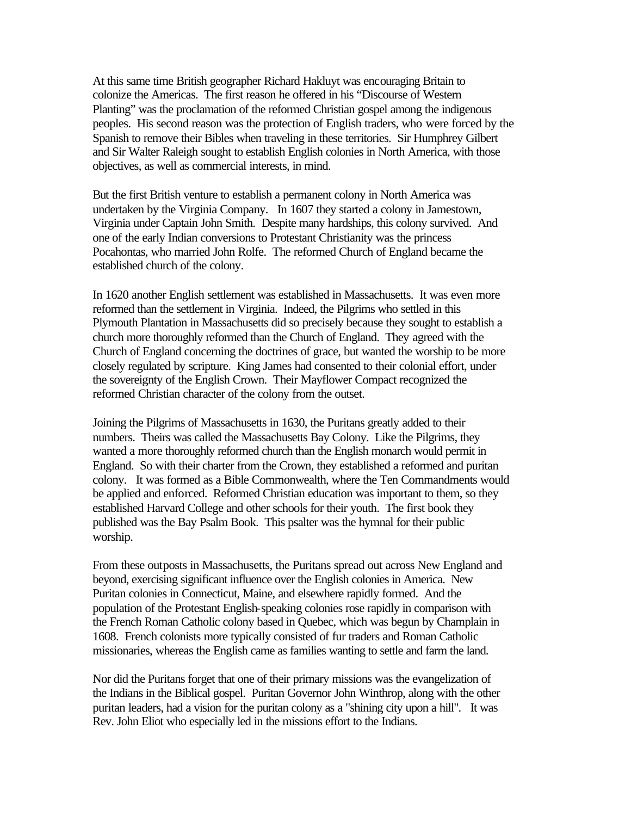At this same time British geographer Richard Hakluyt was encouraging Britain to colonize the Americas. The first reason he offered in his "Discourse of Western Planting" was the proclamation of the reformed Christian gospel among the indigenous peoples. His second reason was the protection of English traders, who were forced by the Spanish to remove their Bibles when traveling in these territories. Sir Humphrey Gilbert and Sir Walter Raleigh sought to establish English colonies in North America, with those objectives, as well as commercial interests, in mind.

But the first British venture to establish a permanent colony in North America was undertaken by the Virginia Company. In 1607 they started a colony in Jamestown, Virginia under Captain John Smith. Despite many hardships, this colony survived. And one of the early Indian conversions to Protestant Christianity was the princess Pocahontas, who married John Rolfe. The reformed Church of England became the established church of the colony.

In 1620 another English settlement was established in Massachusetts. It was even more reformed than the settlement in Virginia. Indeed, the Pilgrims who settled in this Plymouth Plantation in Massachusetts did so precisely because they sought to establish a church more thoroughly reformed than the Church of England. They agreed with the Church of England concerning the doctrines of grace, but wanted the worship to be more closely regulated by scripture. King James had consented to their colonial effort, under the sovereignty of the English Crown. Their Mayflower Compact recognized the reformed Christian character of the colony from the outset.

Joining the Pilgrims of Massachusetts in 1630, the Puritans greatly added to their numbers. Theirs was called the Massachusetts Bay Colony. Like the Pilgrims, they wanted a more thoroughly reformed church than the English monarch would permit in England. So with their charter from the Crown, they established a reformed and puritan colony. It was formed as a Bible Commonwealth, where the Ten Commandments would be applied and enforced. Reformed Christian education was important to them, so they established Harvard College and other schools for their youth. The first book they published was the Bay Psalm Book. This psalter was the hymnal for their public worship.

From these outposts in Massachusetts, the Puritans spread out across New England and beyond, exercising significant influence over the English colonies in America. New Puritan colonies in Connecticut, Maine, and elsewhere rapidly formed. And the population of the Protestant English-speaking colonies rose rapidly in comparison with the French Roman Catholic colony based in Quebec, which was begun by Champlain in 1608. French colonists more typically consisted of fur traders and Roman Catholic missionaries, whereas the English came as families wanting to settle and farm the land.

Nor did the Puritans forget that one of their primary missions was the evangelization of the Indians in the Biblical gospel. Puritan Governor John Winthrop, along with the other puritan leaders, had a vision for the puritan colony as a "shining city upon a hill". It was Rev. John Eliot who especially led in the missions effort to the Indians.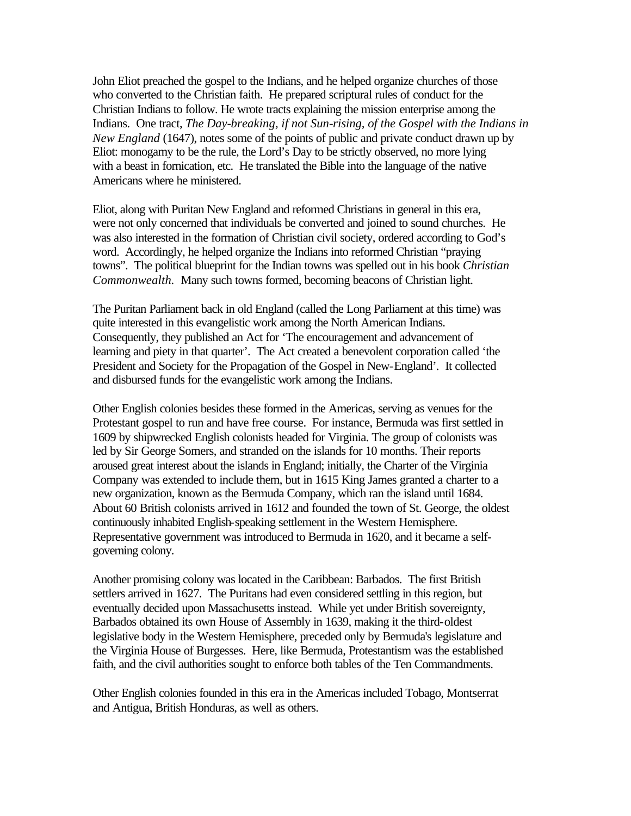John Eliot preached the gospel to the Indians, and he helped organize churches of those who converted to the Christian faith. He prepared scriptural rules of conduct for the Christian Indians to follow. He wrote tracts explaining the mission enterprise among the Indians. One tract, *The Day-breaking, if not Sun-rising, of the Gospel with the Indians in New England* (1647), notes some of the points of public and private conduct drawn up by Eliot: monogamy to be the rule, the Lord's Day to be strictly observed, no more lying with a beast in fornication, etc. He translated the Bible into the language of the native Americans where he ministered.

Eliot, along with Puritan New England and reformed Christians in general in this era, were not only concerned that individuals be converted and joined to sound churches. He was also interested in the formation of Christian civil society, ordered according to God's word. Accordingly, he helped organize the Indians into reformed Christian "praying towns". The political blueprint for the Indian towns was spelled out in his book *Christian Commonwealth.* Many such towns formed, becoming beacons of Christian light.

The Puritan Parliament back in old England (called the Long Parliament at this time) was quite interested in this evangelistic work among the North American Indians. Consequently, they published an Act for 'The encouragement and advancement of learning and piety in that quarter'. The Act created a benevolent corporation called 'the President and Society for the Propagation of the Gospel in New-England'. It collected and disbursed funds for the evangelistic work among the Indians.

Other English colonies besides these formed in the Americas, serving as venues for the Protestant gospel to run and have free course. For instance, Bermuda was first settled in 1609 by shipwrecked English colonists headed for Virginia. The group of colonists was led by Sir George Somers, and stranded on the islands for 10 months. Their reports aroused great interest about the islands in England; initially, the Charter of the Virginia Company was extended to include them, but in 1615 King James granted a charter to a new organization, known as the Bermuda Company, which ran the island until 1684. About 60 British colonists arrived in 1612 and founded the town of St. George, the oldest continuously inhabited English-speaking settlement in the Western Hemisphere. Representative government was introduced to Bermuda in 1620, and it became a selfgoverning colony.

Another promising colony was located in the Caribbean: Barbados. The first British settlers arrived in 1627. The Puritans had even considered settling in this region, but eventually decided upon Massachusetts instead. While yet under British sovereignty, Barbados obtained its own House of Assembly in 1639, making it the third-oldest legislative body in the Western Hemisphere, preceded only by Bermuda's legislature and the Virginia House of Burgesses. Here, like Bermuda, Protestantism was the established faith, and the civil authorities sought to enforce both tables of the Ten Commandments.

Other English colonies founded in this era in the Americas included Tobago, Montserrat and Antigua, British Honduras, as well as others.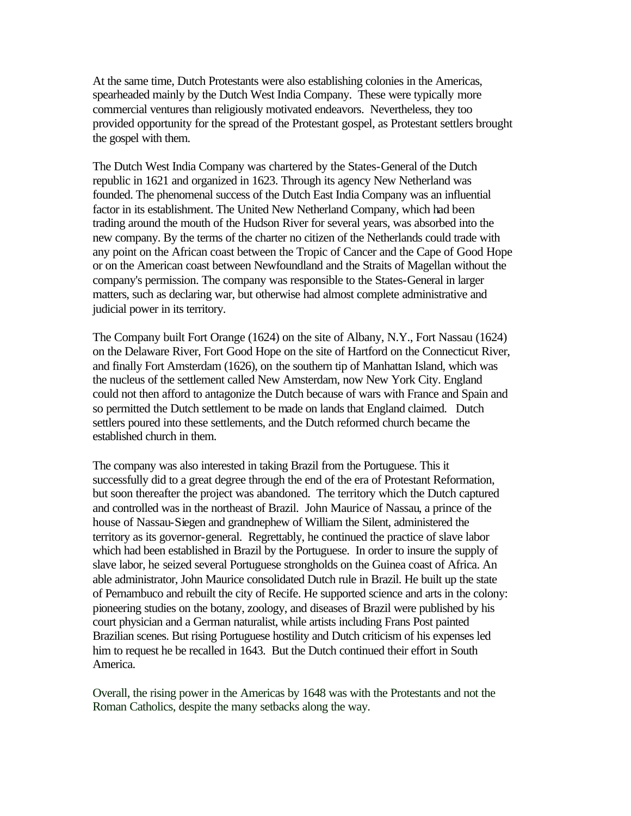At the same time, Dutch Protestants were also establishing colonies in the Americas, spearheaded mainly by the Dutch West India Company. These were typically more commercial ventures than religiously motivated endeavors. Nevertheless, they too provided opportunity for the spread of the Protestant gospel, as Protestant settlers brought the gospel with them.

The Dutch West India Company was chartered by the States-General of the Dutch republic in 1621 and organized in 1623. Through its agency New Netherland was founded. The phenomenal success of the Dutch East India Company was an influential factor in its establishment. The United New Netherland Company, which had been trading around the mouth of the Hudson River for several years, was absorbed into the new company. By the terms of the charter no citizen of the Netherlands could trade with any point on the African coast between the Tropic of Cancer and the Cape of Good Hope or on the American coast between Newfoundland and the Straits of Magellan without the company's permission. The company was responsible to the States-General in larger matters, such as declaring war, but otherwise had almost complete administrative and judicial power in its territory.

The Company built Fort Orange (1624) on the site of Albany, N.Y., Fort Nassau (1624) on the Delaware River, Fort Good Hope on the site of Hartford on the Connecticut River, and finally Fort Amsterdam (1626), on the southern tip of Manhattan Island, which was the nucleus of the settlement called New Amsterdam, now New York City. England could not then afford to antagonize the Dutch because of wars with France and Spain and so permitted the Dutch settlement to be made on lands that England claimed. Dutch settlers poured into these settlements, and the Dutch reformed church became the established church in them.

The company was also interested in taking Brazil from the Portuguese. This it successfully did to a great degree through the end of the era of Protestant Reformation, but soon thereafter the project was abandoned. The territory which the Dutch captured and controlled was in the northeast of Brazil. John Maurice of Nassau, a prince of the house of Nassau-Siegen and grandnephew of William the Silent, administered the territory as its governor-general. Regrettably, he continued the practice of slave labor which had been established in Brazil by the Portuguese. In order to insure the supply of slave labor, he seized several Portuguese strongholds on the Guinea coast of Africa. An able administrator, John Maurice consolidated Dutch rule in Brazil. He built up the state of Pernambuco and rebuilt the city of Recife. He supported science and arts in the colony: pioneering studies on the botany, zoology, and diseases of Brazil were published by his court physician and a German naturalist, while artists including Frans Post painted Brazilian scenes. But rising Portuguese hostility and Dutch criticism of his expenses led him to request he be recalled in 1643. But the Dutch continued their effort in South America.

Overall, the rising power in the Americas by 1648 was with the Protestants and not the Roman Catholics, despite the many setbacks along the way.